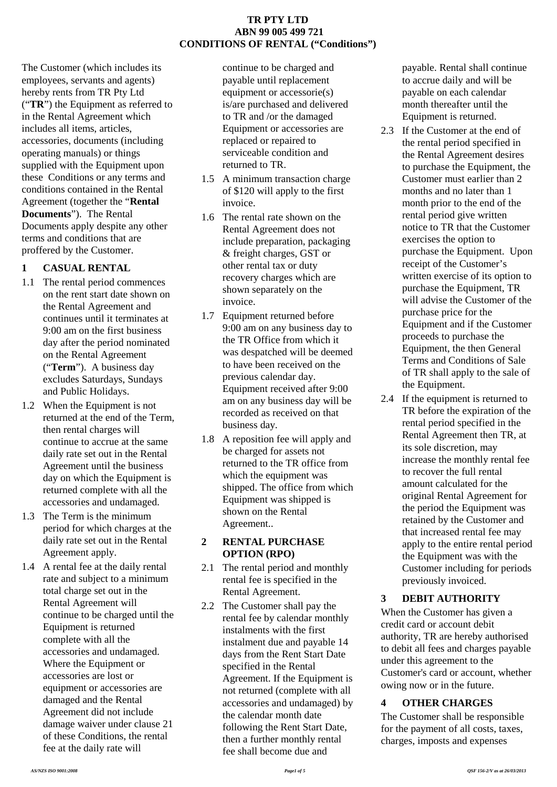The Customer (which includes its employees, servants and agents) hereby rents from TR Pty Ltd ("**TR**") the Equipment as referred to in the Rental Agreement which includes all items, articles, accessories, documents (including operating manuals) or things supplied with the Equipment upon these Conditions or any terms and conditions contained in the Rental Agreement (together the "**Rental Documents**"). The Rental Documents apply despite any other terms and conditions that are proffered by the Customer.

### **1 CASUAL RENTAL**

- 1.1 The rental period commences on the rent start date shown on the Rental Agreement and continues until it terminates at 9:00 am on the first business day after the period nominated on the Rental Agreement ("**Term**"). A business day excludes Saturdays, Sundays and Public Holidays.
- 1.2 When the Equipment is not returned at the end of the Term, then rental charges will continue to accrue at the same daily rate set out in the Rental Agreement until the business day on which the Equipment is returned complete with all the accessories and undamaged.
- 1.3 The Term is the minimum period for which charges at the daily rate set out in the Rental Agreement apply.
- 1.4 A rental fee at the daily rental rate and subject to a minimum total charge set out in the Rental Agreement will continue to be charged until the Equipment is returned complete with all the accessories and undamaged. Where the Equipment or accessories are lost or equipment or accessories are damaged and the Rental Agreement did not include damage waiver under clause 21 of these Conditions, the rental fee at the daily rate will

continue to be charged and payable until replacement equipment or accessorie(s) is/are purchased and delivered to TR and /or the damaged Equipment or accessories are replaced or repaired to serviceable condition and returned to TR.

- 1.5 A minimum transaction charge of \$120 will apply to the first invoice.
- 1.6 The rental rate shown on the Rental Agreement does not include preparation, packaging & freight charges, GST or other rental tax or duty recovery charges which are shown separately on the invoice.
- 1.7 Equipment returned before 9:00 am on any business day to the TR Office from which it was despatched will be deemed to have been received on the previous calendar day. Equipment received after 9:00<br>am on any business day will be 2.4 am on any business day will be recorded as received on that business day.
- 1.8 A reposition fee will apply and be charged for assets not returned to the TR office from which the equipment was shipped. The office from which Equipment was shipped is shown on the Rental Agreement..

#### **2 RENTAL PURCHASE OPTION (RPO)**

- 2.1 The rental period and monthly rental fee is specified in the Rental Agreement.
- 2.2 The Customer shall pay the rental fee by calendar monthly instalments with the first instalment due and payable 14 days from the Rent Start Date specified in the Rental Agreement. If the Equipment is not returned (complete with all accessories and undamaged) by the calendar month date following the Rent Start Date, then a further monthly rental fee shall become due and

payable. Rental shall continue to accrue daily and will be payable on each calendar month thereafter until the Equipment is returned.

- 2.3 If the Customer at the end of the rental period specified in the Rental Agreement desires to purchase the Equipment, the Customer must earlier than 2 months and no later than 1 month prior to the end of the rental period give written notice to TR that the Customer exercises the option to purchase the Equipment. Upon receipt of the Customer's written exercise of its option to purchase the Equipment, TR will advise the Customer of the purchase price for the Equipment and if the Customer proceeds to purchase the Equipment, the then General Terms and Conditions of Sale of TR shall apply to the sale of the Equipment.
- If the equipment is returned to TR before the expiration of the rental period specified in the Rental Agreement then TR, at its sole discretion, may increase the monthly rental fee to recover the full rental amount calculated for the original Rental Agreement for the period the Equipment was retained by the Customer and that increased rental fee may apply to the entire rental period the Equipment was with the Customer including for periods previously invoiced.

## **3 DEBIT AUTHORITY**

When the Customer has given a credit card or account debit authority, TR are hereby authorised to debit all fees and charges payable under this agreement to the Customer's card or account, whether owing now or in the future.

### **4 OTHER CHARGES**

The Customer shall be responsible for the payment of all costs, taxes, charges, imposts and expenses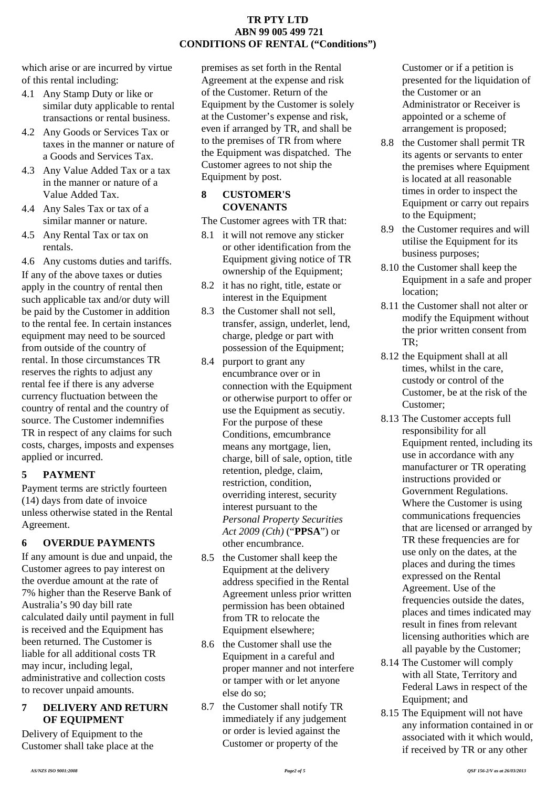which arise or are incurred by virtue of this rental including:

- 4.1 Any Stamp Duty or like or similar duty applicable to rental transactions or rental business.
- 4.2 Any Goods or Services Tax or taxes in the manner or nature of a Goods and Services Tax.
- 4.3 Any Value Added Tax or a tax in the manner or nature of a Value Added Tax.
- 4.4 Any Sales Tax or tax of a similar manner or nature.
- 4.5 Any Rental Tax or tax on rentals.

4.6 Any customs duties and tariffs. If any of the above taxes or duties apply in the country of rental then such applicable tax and/or duty will be paid by the Customer in addition to the rental fee. In certain instances equipment may need to be sourced from outside of the country of rental. In those circumstances TR reserves the rights to adjust any rental fee if there is any adverse currency fluctuation between the country of rental and the country of source. The Customer indemnifies TR in respect of any claims for such costs, charges, imposts and expenses applied or incurred.

# **5 PAYMENT**

Payment terms are strictly fourteen (14) days from date of invoice unless otherwise stated in the Rental Agreement.

## **6 OVERDUE PAYMENTS**

If any amount is due and unpaid, the Customer agrees to pay interest on the overdue amount at the rate of 7% higher than the Reserve Bank of Australia's 90 day bill rate calculated daily until payment in full is received and the Equipment has been returned. The Customer is liable for all additional costs TR may incur, including legal, administrative and collection costs to recover unpaid amounts.

### **7 DELIVERY AND RETURN OF EQUIPMENT**

Delivery of Equipment to the Customer shall take place at the premises as set forth in the Rental Agreement at the expense and risk of the Customer. Return of the Equipment by the Customer is solely at the Customer's expense and risk, even if arranged by TR, and shall be to the premises of TR from where the Equipment was dispatched. The Customer agrees to not ship the Equipment by post.

### **8 CUSTOMER'S COVENANTS**

The Customer agrees with TR that:

- 8.1 it will not remove any sticker or other identification from the Equipment giving notice of TR ownership of the Equipment;
- 8.2 it has no right, title, estate or interest in the Equipment
- 8.3 the Customer shall not sell, transfer, assign, underlet, lend, charge, pledge or part with possession of the Equipment;
- 8.4 purport to grant any encumbrance over or in connection with the Equipment or otherwise purport to offer or use the Equipment as secutiy. For the purpose of these Conditions, emcumbrance means any mortgage, lien, charge, bill of sale, option, title retention, pledge, claim, restriction, condition, overriding interest, security interest pursuant to the *Personal Property Securities Act 2009 (Cth)* ("**PPSA**") or other encumbrance.
- 8.5 the Customer shall keep the Equipment at the delivery address specified in the Rental Agreement unless prior written permission has been obtained from TR to relocate the Equipment elsewhere;
- 8.6 the Customer shall use the Equipment in a careful and proper manner and not interfere or tamper with or let anyone else do so;
- 8.7 the Customer shall notify TR immediately if any judgement or order is levied against the Customer or property of the

Customer or if a petition is presented for the liquidation of the Customer or an Administrator or Receiver is appointed or a scheme of arrangement is proposed;

- 8.8 the Customer shall permit TR its agents or servants to enter the premises where Equipment is located at all reasonable times in order to inspect the Equipment or carry out repairs to the Equipment;
- 8.9 the Customer requires and will utilise the Equipment for its business purposes;
- 8.10 the Customer shall keep the Equipment in a safe and proper location;
- 8.11 the Customer shall not alter or modify the Equipment without the prior written consent from TR;
- 8.12 the Equipment shall at all times, whilst in the care, custody or control of the Customer, be at the risk of the Customer;
- 8.13 The Customer accepts full responsibility for all Equipment rented, including its use in accordance with any manufacturer or TR operating instructions provided or Government Regulations. Where the Customer is using communications frequencies that are licensed or arranged by TR these frequencies are for use only on the dates, at the places and during the times expressed on the Rental Agreement. Use of the frequencies outside the dates, places and times indicated may result in fines from relevant licensing authorities which are all payable by the Customer;
- 8.14 The Customer will comply with all State, Territory and Federal Laws in respect of the Equipment; and
- 8.15 The Equipment will not have any information contained in or associated with it which would, if received by TR or any other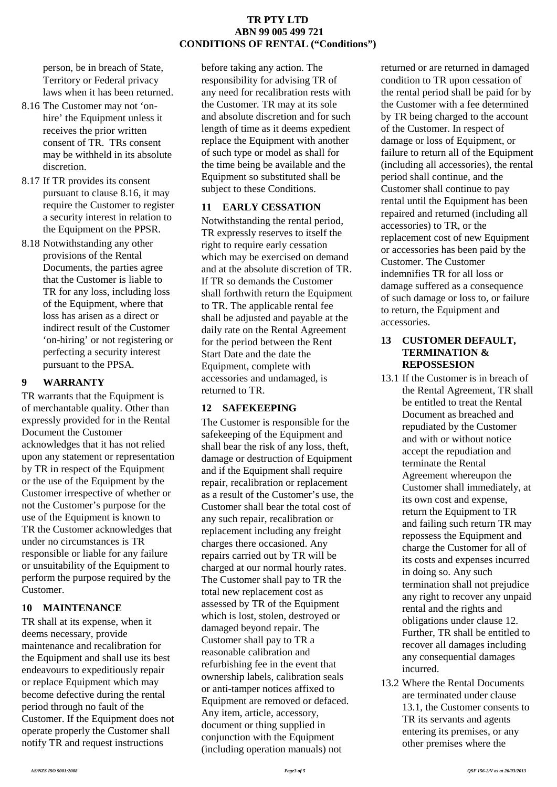person, be in breach of State, Territory or Federal privacy laws when it has been returned.

- 8.16 The Customer may not 'on hire' the Equipment unless it receives the prior written consent of TR. TRs consent may be withheld in its absolute discretion.
- 8.17 If TR provides its consent pursuant to clause 8.16, it may require the Customer to register a security interest in relation to the Equipment on the PPSR.
- 8.18 Notwithstanding any other provisions of the Rental Documents, the parties agree that the Customer is liable to TR for any loss, including loss of the Equipment, where that loss has arisen as a direct or indirect result of the Customer 'on-hiring' or not registering or perfecting a security interest pursuant to the PPSA.

## **9 WARRANTY**

TR warrants that the Equipment is of merchantable quality. Other than expressly provided for in the Rental Document the Customer acknowledges that it has not relied upon any statement or representation by TR in respect of the Equipment or the use of the Equipment by the Customer irrespective of whether or not the Customer's purpose for the use of the Equipment is known to TR the Customer acknowledges that under no circumstances is TR responsible or liable for any failure or unsuitability of the Equipment to perform the purpose required by the Customer.

## **10 MAINTENANCE**

TR shall at its expense, when it deems necessary, provide maintenance and recalibration for the Equipment and shall use its best endeavours to expeditiously repair or replace Equipment which may become defective during the rental period through no fault of the Customer. If the Equipment does not operate properly the Customer shall notify TR and request instructions

before taking any action. The responsibility for advising TR of any need for recalibration rests with the Customer. TR may at its sole and absolute discretion and for such length of time as it deems expedient replace the Equipment with another of such type or model as shall for the time being be available and the Equipment so substituted shall be subject to these Conditions.

## **11 EARLY CESSATION**

Notwithstanding the rental period, TR expressly reserves to itself the right to require early cessation which may be exercised on demand and at the absolute discretion of TR. If TR so demands the Customer shall forthwith return the Equipment to TR. The applicable rental fee shall be adjusted and payable at the daily rate on the Rental Agreement for the period between the Rent Start Date and the date the Equipment, complete with accessories and undamaged, is returned to TR.

## **12 SAFEKEEPING**

The Customer is responsible for the safekeeping of the Equipment and shall bear the risk of any loss, theft, damage or destruction of Equipment and if the Equipment shall require repair, recalibration or replacement as a result of the Customer's use, the Customer shall bear the total cost of any such repair, recalibration or replacement including any freight charges there occasioned. Any repairs carried out by TR will be charged at our normal hourly rates. The Customer shall pay to TR the total new replacement cost as assessed by TR of the Equipment which is lost, stolen, destroyed or damaged beyond repair. The Customer shall pay to TR a reasonable calibration and refurbishing fee in the event that ownership labels, calibration seals or anti-tamper notices affixed to Equipment are removed or defaced. Any item, article, accessory, document or thing supplied in conjunction with the Equipment (including operation manuals) not

returned or are returned in damaged condition to TR upon cessation of the rental period shall be paid for by the Customer with a fee determined by TR being charged to the account of the Customer. In respect of damage or loss of Equipment, or failure to return all of the Equipment (including all accessories), the rental period shall continue, and the Customer shall continue to pay rental until the Equipment has been repaired and returned (including all accessories) to TR, or the replacement cost of new Equipment or accessories has been paid by the Customer. The Customer indemnifies TR for all loss or damage suffered as a consequence of such damage or loss to, or failure to return, the Equipment and accessories.

### **13 CUSTOMER DEFAULT, TERMINATION & REPOSSESION**

- 13.1 If the Customer is in breach of the Rental Agreement, TR shall be entitled to treat the Rental Document as breached and repudiated by the Customer and with or without notice accept the repudiation and terminate the Rental Agreement whereupon the Customer shall immediately, at its own cost and expense, return the Equipment to TR and failing such return TR may repossess the Equipment and charge the Customer for all of its costs and expenses incurred in doing so. Any such termination shall not prejudice any right to recover any unpaid rental and the rights and obligations under clause 12. Further, TR shall be entitled to recover all damages including any consequential damages incurred.
- 13.2 Where the Rental Documents are terminated under clause 13.1, the Customer consents to TR its servants and agents entering its premises, or any other premises where the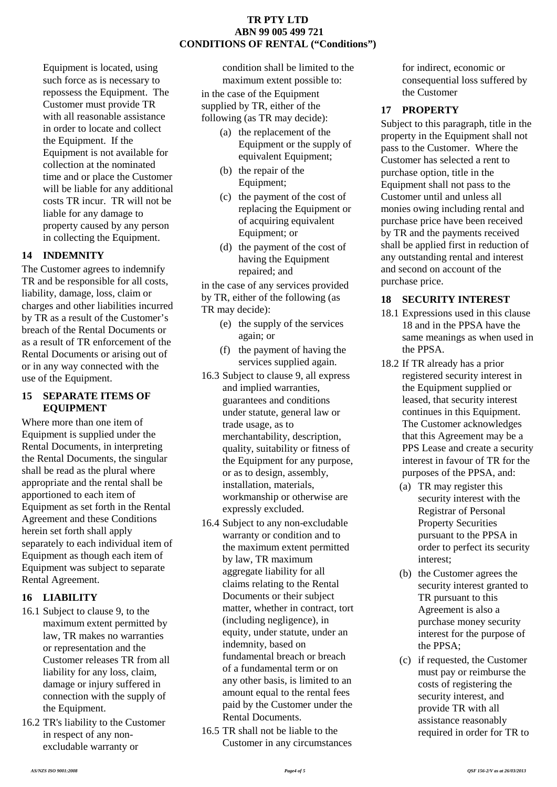Equipment is located, using such force as is necessary to repossess the Equipment. The Customer must provide TR with all reasonable assistance in order to locate and collect the Equipment. If the Equipment is not available for collection at the nominated time and or place the Customer will be liable for any additional costs TR incur. TR will not be liable for any damage to property caused by any person in collecting the Equipment.

## **14 INDEMNITY**

The Customer agrees to indemnify TR and be responsible for all costs, liability, damage, loss, claim or charges and other liabilities incurred by TR as a result of the Customer's breach of the Rental Documents or as a result of TR enforcement of the Rental Documents or arising out of or in any way connected with the use of the Equipment.

#### **15 SEPARATE ITEMS OF EQUIPMENT**

Where more than one item of Equipment is supplied under the Rental Documents, in interpreting the Rental Documents, the singular shall be read as the plural where appropriate and the rental shall be apportioned to each item of Equipment as set forth in the Rental Agreement and these Conditions herein set forth shall apply separately to each individual item of Equipment as though each item of Equipment was subject to separate Rental Agreement.

## **16 LIABILITY**

- 16.1 Subject to clause 9, to the maximum extent permitted by law, TR makes no warranties or representation and the Customer releases TR from all liability for any loss, claim, damage or injury suffered in connection with the supply of the Equipment.
- 16.2 TR's liability to the Customer in respect of any non excludable warranty or

condition shall be limited to the maximum extent possible to:

in the case of the Equipment supplied by TR, either of the following (as TR may decide):

- (a) the replacement of the Equipment or the supply of equivalent Equipment;
- (b) the repair of the Equipment;
- (c) the payment of the cost of replacing the Equipment or of acquiring equivalent Equipment; or
- (d) the payment of the cost of having the Equipment repaired; and

in the case of any services provided by TR, either of the following (as TR may decide):

- (e) the supply of the services again; or
- (f) the payment of having the services supplied again.
- 16.3 Subject to clause 9, all express and implied warranties, guarantees and conditions under statute, general law or trade usage, as to merchantability, description, quality, suitability or fitness of the Equipment for any purpose, or as to design, assembly, installation, materials, workmanship or otherwise are expressly excluded.
- 16.4 Subject to any non-excludable warranty or condition and to the maximum extent permitted by law, TR maximum aggregate liability for all claims relating to the Rental Documents or their subject matter, whether in contract, tort (including negligence), in equity, under statute, under an indemnity, based on fundamental breach or breach of a fundamental term or on any other basis, is limited to an amount equal to the rental fees paid by the Customer under the Rental Documents.
- 16.5 TR shall not be liable to the Customer in any circumstances

for indirect, economic or consequential loss suffered by the Customer

## **17 PROPERTY**

Subject to this paragraph, title in the property in the Equipment shall not pass to the Customer. Where the Customer has selected a rent to purchase option, title in the Equipment shall not pass to the Customer until and unless all monies owing including rental and purchase price have been received by TR and the payments received shall be applied first in reduction of any outstanding rental and interest and second on account of the purchase price.

### **18 SECURITY INTEREST**

- 18.1 Expressions used in this clause 18 and in the PPSA have the same meanings as when used in the PPSA.
- 18.2 If TR already has a prior registered security interest in the Equipment supplied or leased, that security interest continues in this Equipment. The Customer acknowledges that this Agreement may be a PPS Lease and create a security interest in favour of TR for the purposes of the PPSA, and:
	- (a) TR may register this security interest with the Registrar of Personal Property Securities pursuant to the PPSA in order to perfect its security interest;
	- (b) the Customer agrees the security interest granted to TR pursuant to this Agreement is also a purchase money security interest for the purpose of the PPSA;
	- (c) if requested, the Customer must pay or reimburse the costs of registering the security interest, and provide TR with all assistance reasonably required in order for TR to